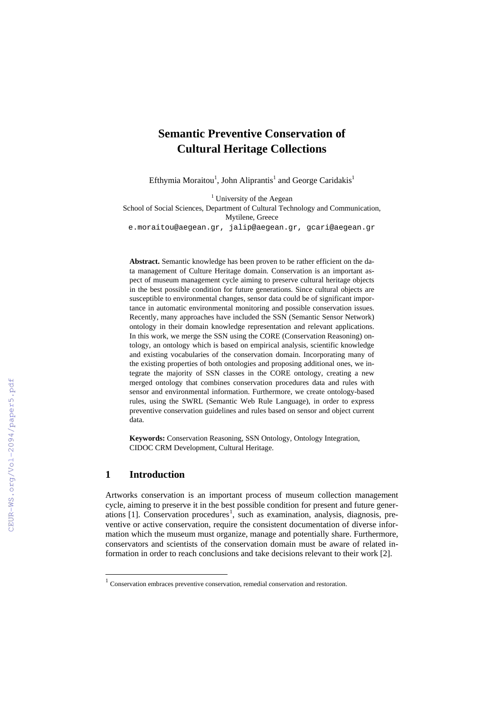# **Semantic Preventive Conservation of Cultural Heritage Collections**

Efthymia Moraitou<sup>1</sup>, John Aliprantis<sup>1</sup> and George Caridakis<sup>1</sup>

 $<sup>1</sup>$  University of the Aegean</sup>

School of Social Sciences, Department of Cultural Technology and Communication, Mytilene, Greece

[e.moraitou@aegean.gr,](mailto:e.moraitou@aegean.gr) [jalip@aegean.gr,](mailto:jalip@aegean.gr) gcari@aegean.gr

**Abstract.** Semantic knowledge has been proven to be rather efficient on the data management of Culture Heritage domain. Conservation is an important aspect of museum management cycle aiming to preserve cultural heritage objects in the best possible condition for future generations. Since cultural objects are susceptible to environmental changes, sensor data could be of significant importance in automatic environmental monitoring and possible conservation issues. Recently, many approaches have included the SSN (Semantic Sensor Network) ontology in their domain knowledge representation and relevant applications. In this work, we merge the SSN using the CORE (Conservation Reasoning) ontology, an ontology which is based on empirical analysis, scientific knowledge and existing vocabularies of the conservation domain. Incorporating many of the existing properties of both ontologies and proposing additional ones, we integrate the majority of SSN classes in the CORE ontology, creating a new merged ontology that combines conservation procedures data and rules with sensor and environmental information. Furthermore, we create ontology-based rules, using the SWRL (Semantic Web Rule Language), in order to express preventive conservation guidelines and rules based on sensor and object current data.

**Keywords:** Conservation Reasoning, SSN Ontology, Ontology Integration, CIDOC CRM Development, Cultural Heritage.

## **1 Introduction**

 $\overline{a}$ 

Artworks conservation is an important process of museum collection management cycle, aiming to preserve it in the best possible condition for present and future gener-ations [[1](#page-0-0)]. Conservation procedures<sup>1</sup>, such as examination, analysis, diagnosis, preventive or active conservation, require the consistent documentation of diverse information which the museum must organize, manage and potentially share. Furthermore, conservators and scientists of the conservation domain must be aware of related information in order to reach conclusions and take decisions relevant to their work [2].

<span id="page-0-0"></span> $1$  Conservation embraces preventive conservation, remedial conservation and restoration.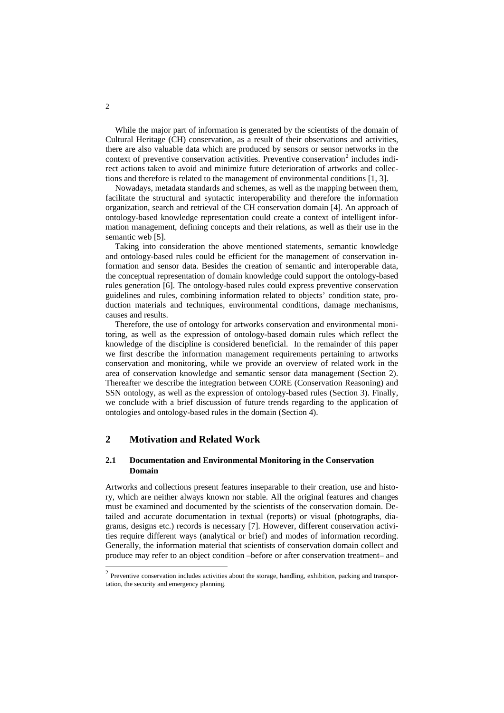While the major part of information is generated by the scientists of the domain of Cultural Heritage (CH) conservation, as a result of their observations and activities, there are also valuable data which are produced by sensors or sensor networks in the context of preventive conservation activities. Preventive conservation<sup>[2](#page-1-0)</sup> includes indirect actions taken to avoid and minimize future deterioration of artworks and collections and therefore is related to the management of environmental conditions [1, 3].

Nowadays, metadata standards and schemes, as well as the mapping between them, facilitate the structural and syntactic interoperability and therefore the information organization, search and retrieval of the CH conservation domain [4]. An approach of ontology-based knowledge representation could create a context of intelligent information management, defining concepts and their relations, as well as their use in the semantic web [5].

Taking into consideration the above mentioned statements, semantic knowledge and ontology-based rules could be efficient for the management of conservation information and sensor data. Besides the creation of semantic and interoperable data, the conceptual representation of domain knowledge could support the ontology-based rules generation [6]. The ontology-based rules could express preventive conservation guidelines and rules, combining information related to objects' condition state, production materials and techniques, environmental conditions, damage mechanisms, causes and results.

Therefore, the use of ontology for artworks conservation and environmental monitoring, as well as the expression of ontology-based domain rules which reflect the knowledge of the discipline is considered beneficial. In the remainder of this paper we first describe the information management requirements pertaining to artworks conservation and monitoring, while we provide an overview of related work in the area of conservation knowledge and semantic sensor data management (Section 2). Thereafter we describe the integration between CORE (Conservation Reasoning) and SSN ontology, as well as the expression of ontology-based rules (Section 3). Finally, we conclude with a brief discussion of future trends regarding to the application of ontologies and ontology-based rules in the domain (Section 4).

## **2 Motivation and Related Work**

#### **2.1 Documentation and Environmental Monitoring in the Conservation Domain**

Artworks and collections present features inseparable to their creation, use and history, which are neither always known nor stable. All the original features and changes must be examined and documented by the scientists of the conservation domain. Detailed and accurate documentation in textual (reports) or visual (photographs, diagrams, designs etc.) records is necessary [7]. However, different conservation activities require different ways (analytical or brief) and modes of information recording. Generally, the information material that scientists of conservation domain collect and produce may refer to an object condition –before or after conservation treatment– and

 $\overline{a}$ 

<span id="page-1-0"></span> $2$  Preventive conservation includes activities about the storage, handling, exhibition, packing and transportation, the security and emergency planning.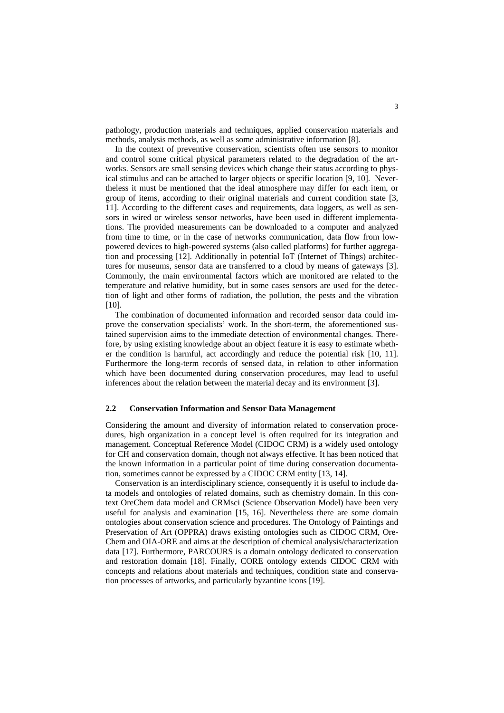pathology, production materials and techniques, applied conservation materials and methods, analysis methods, as well as some administrative information [8].

In the context of preventive conservation, scientists often use sensors to monitor and control some critical physical parameters related to the degradation of the artworks. Sensors are small sensing devices which change their status according to physical stimulus and can be attached to larger objects or specific location [9, 10]. Nevertheless it must be mentioned that the ideal atmosphere may differ for each item, or group of items, according to their original materials and current condition state [3, 11]. According to the different cases and requirements, data loggers, as well as sensors in wired or wireless sensor networks, have been used in different implementations. The provided measurements can be downloaded to a computer and analyzed from time to time, or in the case of networks communication, data flow from lowpowered devices to high-powered systems (also called platforms) for further aggregation and processing [12]. Additionally in potential ΙοΤ (Internet of Things) architectures for museums, sensor data are transferred to a cloud by means of gateways [3]. Commonly, the main environmental factors which are monitored are related to the temperature and relative humidity, but in some cases sensors are used for the detection of light and other forms of radiation, the pollution, the pests and the vibration  $[10]$ .

The combination of documented information and recorded sensor data could improve the conservation specialists' work. In the short-term, the aforementioned sustained supervision aims to the immediate detection of environmental changes. Therefore, by using existing knowledge about an object feature it is easy to estimate whether the condition is harmful, act accordingly and reduce the potential risk [10, 11]. Furthermore the long-term records of sensed data, in relation to other information which have been documented during conservation procedures, may lead to useful inferences about the relation between the material decay and its environment [3].

#### **2.2 Conservation Information and Sensor Data Management**

Considering the amount and diversity of information related to conservation procedures, high organization in a concept level is often required for its integration and management. Conceptual Reference Model (CIDOC CRM) is a widely used ontology for CH and conservation domain, though not always effective. It has been noticed that the known information in a particular point of time during conservation documentation, sometimes cannot be expressed by a CIDOC CRM entity [13, 14].

Conservation is an interdisciplinary science, consequently it is useful to include data models and ontologies of related domains, such as chemistry domain. In this context OreChem data model and CRMsci (Science Observation Model) have been very useful for analysis and examination [15, 16]. Nevertheless there are some domain ontologies about conservation science and procedures. The Ontology of Paintings and Preservation of Art (OPPRA) draws existing ontologies such as CIDOC CRM, Ore-Chem and OIA-ORE and aims at the description of chemical analysis/characterization data [17]. Furthermore, PARCOURS is a domain ontology dedicated to conservation and restoration domain [18]. Finally, CORE ontology extends CIDOC CRM with concepts and relations about materials and techniques, condition state and conservation processes of artworks, and particularly byzantine icons [19].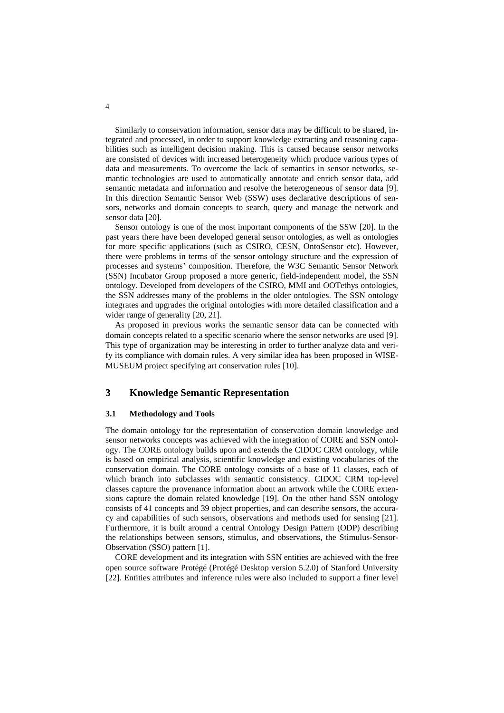Similarly to conservation information, sensor data may be difficult to be shared, integrated and processed, in order to support knowledge extracting and reasoning capabilities such as intelligent decision making. This is caused because sensor networks are consisted of devices with increased heterogeneity which produce various types of data and measurements. To overcome the lack of semantics in sensor networks, semantic technologies are used to automatically annotate and enrich sensor data, add semantic metadata and information and resolve the heterogeneous of sensor data [9]. In this direction Semantic Sensor Web (SSW) uses declarative descriptions of sensors, networks and domain concepts to search, query and manage the network and sensor data [20].

Sensor ontology is one of the most important components of the SSW [20]. In the past years there have been developed general sensor ontologies, as well as ontologies for more specific applications (such as CSIRO, CESN, OntoSensor etc). However, there were problems in terms of the sensor ontology structure and the expression of processes and systems' composition. Therefore, the W3C Semantic Sensor Network (SSN) Incubator Group proposed a more generic, field-independent model, the SSN ontology. Developed from developers of the CSIRO, MMI and OOTethys ontologies, the SSN addresses many of the problems in the older ontologies. The SSN ontology integrates and upgrades the original ontologies with more detailed classification and a wider range of generality [20, 21].

As proposed in previous works the semantic sensor data can be connected with domain concepts related to a specific scenario where the sensor networks are used [9]. This type of organization may be interesting in order to further analyze data and verify its compliance with domain rules. A very similar idea has been proposed in WISE-MUSEUM project specifying art conservation rules [10].

## **3 Knowledge Semantic Representation**

#### **3.1 Methodology and Tools**

The domain ontology for the representation of conservation domain knowledge and sensor networks concepts was achieved with the integration of CORE and SSN ontology. The CORE ontology builds upon and extends the CIDOC CRM ontology, while is based on empirical analysis, scientific knowledge and existing vocabularies of the conservation domain. The CORE ontology consists of a base of 11 classes, each of which branch into subclasses with semantic consistency. CIDOC CRM top-level classes capture the provenance information about an artwork while the CORE extensions capture the domain related knowledge [19]. On the other hand SSN ontology consists of 41 concepts and 39 object properties, and can describe sensors, the accuracy and capabilities of such sensors, observations and methods used for sensing [21]. Furthermore, it is built around a central Ontology Design Pattern (ODP) describing the relationships between sensors, stimulus, and observations, the Stimulus-Sensor-Observation (SSO) pattern [1].

CORE development and its integration with SSN entities are achieved with the free open source software Protégé (Protégé Desktop version 5.2.0) of Stanford University [22]. Entities attributes and inference rules were also included to support a finer level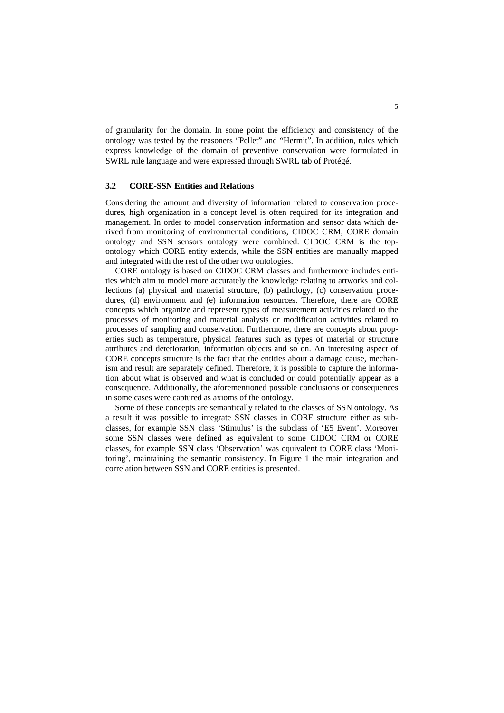of granularity for the domain. In some point the efficiency and consistency of the ontology was tested by the reasoners "Pellet" and "Hermit". In addition, rules which express knowledge of the domain of preventive conservation were formulated in SWRL rule language and were expressed through SWRL tab of Protégé.

## **3.2 CORE-SSN Entities and Relations**

Considering the amount and diversity of information related to conservation procedures, high organization in a concept level is often required for its integration and management. In order to model conservation information and sensor data which derived from monitoring of environmental conditions, CIDOC CRM, CORE domain ontology and SSN sensors ontology were combined. CIDOC CRM is the topontology which CORE entity extends, while the SSN entities are manually mapped and integrated with the rest of the other two ontologies.

CORE ontology is based on CIDOC CRM classes and furthermore includes entities which aim to model more accurately the knowledge relating to artworks and collections (a) physical and material structure, (b) pathology, (c) conservation procedures, (d) environment and (e) information resources. Therefore, there are CORE concepts which organize and represent types of measurement activities related to the processes of monitoring and material analysis or modification activities related to processes of sampling and conservation. Furthermore, there are concepts about properties such as temperature, physical features such as types of material or structure attributes and deterioration, information objects and so on. An interesting aspect of CORE concepts structure is the fact that the entities about a damage cause, mechanism and result are separately defined. Therefore, it is possible to capture the information about what is observed and what is concluded or could potentially appear as a consequence. Additionally, the aforementioned possible conclusions or consequences in some cases were captured as axioms of the ontology.

Some of these concepts are semantically related to the classes of SSN ontology. As a result it was possible to integrate SSN classes in CORE structure either as subclasses, for example SSN class 'Stimulus' is the subclass of 'E5 Event'. Moreover some SSN classes were defined as equivalent to some CIDOC CRM or CORE classes, for example SSN class 'Observation' was equivalent to CORE class 'Monitoring', maintaining the semantic consistency. In Figure 1 the main integration and correlation between SSN and CORE entities is presented.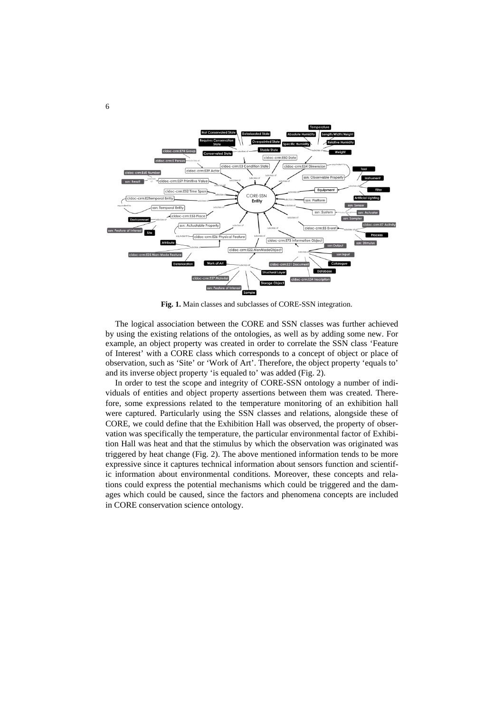

**Fig. 1.** Main classes and subclasses of CORE-SSN integration.

The logical association between the CORE and SSN classes was further achieved by using the existing relations of the ontologies, as well as by adding some new. For example, an object property was created in order to correlate the SSN class 'Feature of Interest' with a CORE class which corresponds to a concept of object or place of observation, such as 'Site' or 'Work of Art'. Therefore, the object property 'equals to' and its inverse object property 'is equaled to' was added (Fig. 2).

In order to test the scope and integrity of CORE-SSN ontology a number of individuals of entities and object property assertions between them was created. Therefore, some expressions related to the temperature monitoring of an exhibition hall were captured. Particularly using the SSN classes and relations, alongside these of CORE, we could define that the Exhibition Hall was observed, the property of observation was specifically the temperature, the particular environmental factor of Exhibition Hall was heat and that the stimulus by which the observation was originated was triggered by heat change (Fig. 2). The above mentioned information tends to be more expressive since it captures technical information about sensors function and scientific information about environmental conditions. Moreover, these concepts and relations could express the potential mechanisms which could be triggered and the damages which could be caused, since the factors and phenomena concepts are included in CORE conservation science ontology.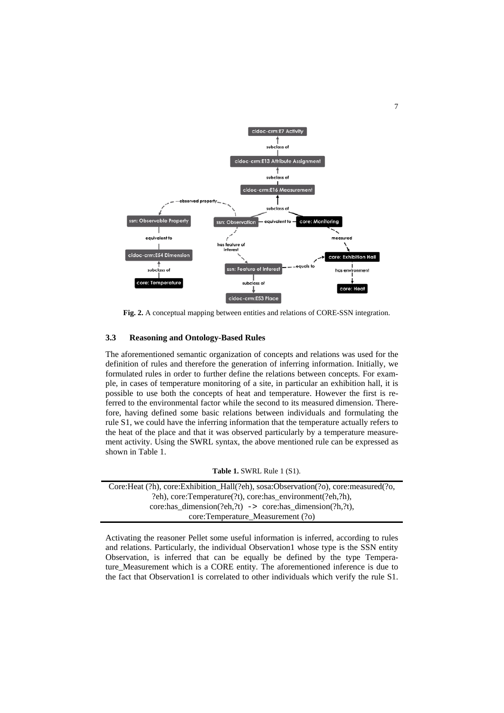

**Fig. 2.** A conceptual mapping between entities and relations of CORE-SSN integration.

### **3.3 Reasoning and Ontology-Based Rules**

The aforementioned semantic organization of concepts and relations was used for the definition of rules and therefore the generation of inferring information. Initially, we formulated rules in order to further define the relations between concepts. For example, in cases of temperature monitoring of a site, in particular an exhibition hall, it is possible to use both the concepts of heat and temperature. However the first is referred to the environmental factor while the second to its measured dimension. Therefore, having defined some basic relations between individuals and formulating the rule S1, we could have the inferring information that the temperature actually refers to the heat of the place and that it was observed particularly by a temperature measurement activity. Using the SWRL syntax, the above mentioned rule can be expressed as shown in Table 1.

|  |  | <b>Table 1. SWRL Rule 1 (S1).</b> |  |  |  |  |
|--|--|-----------------------------------|--|--|--|--|
|--|--|-----------------------------------|--|--|--|--|

| Core: Heat (?h), core: Exhibition_Hall(?eh), sosa: Observation(?o), core: measured(?o, |  |  |  |  |
|----------------------------------------------------------------------------------------|--|--|--|--|
| ?eh), core:Temperature(?t), core:has_environment(?eh,?h),                              |  |  |  |  |
| core: has dimension(?eh,?t) $\rightarrow$ core: has dimension(?h,?t),                  |  |  |  |  |
| core:Temperature Measurement (?o)                                                      |  |  |  |  |

Activating the reasoner Pellet some useful information is inferred, according to rules and relations. Particularly, the individual Observation1 whose type is the SSN entity Observation, is inferred that can be equally be defined by the type Temperature\_Measurement which is a CORE entity. The aforementioned inference is due to the fact that Observation1 is correlated to other individuals which verify the rule S1.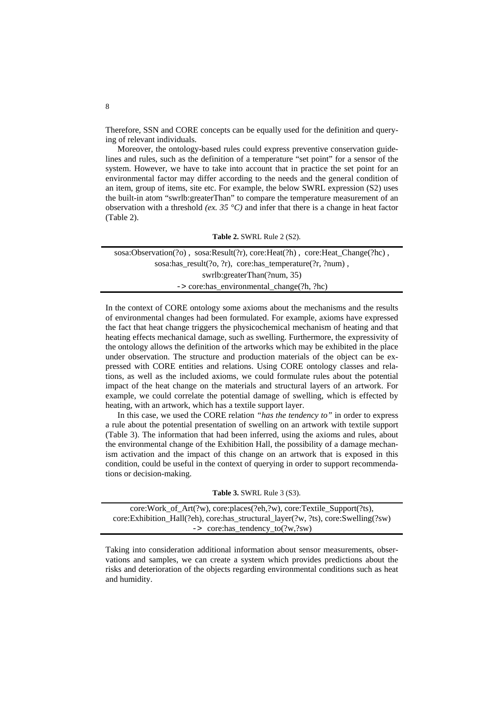Therefore, SSN and CORE concepts can be equally used for the definition and querying of relevant individuals.

Moreover, the ontology-based rules could express preventive conservation guidelines and rules, such as the definition of a temperature "set point" for a sensor of the system. However, we have to take into account that in practice the set point for an environmental factor may differ according to the needs and the general condition of an item, group of items, site etc. For example, the below SWRL expression (S2) uses the built-in atom "swrlb:greaterThan" to compare the temperature measurement of an observation with a threshold *(ex. 35 °C)* and infer that there is a change in heat factor (Table 2).

|  |  | Table 2. SWRL Rule 2 (S2). |  |  |
|--|--|----------------------------|--|--|
|--|--|----------------------------|--|--|

| sosa: $Observation(?o)$ , sosa: $Result(?r)$ , core: $Heat(?h)$ , core: $Heat\_Change(?h)$ , |
|----------------------------------------------------------------------------------------------|
| sosa:has_result(?o, ?r), core:has_temperature(?r, ?num),                                     |
| swrlb:greaterThan(?num, 35)                                                                  |
| $\rightarrow$ core: has environmental change (?h, ?hc)                                       |

In the context of CORE ontology some axioms about the mechanisms and the results of environmental changes had been formulated. For example, axioms have expressed the fact that heat change triggers the physicochemical mechanism of heating and that heating effects mechanical damage, such as swelling. Furthermore, the expressivity of the ontology allows the definition of the artworks which may be exhibited in the place under observation. The structure and production materials of the object can be expressed with CORE entities and relations. Using CORE ontology classes and relations, as well as the included axioms, we could formulate rules about the potential impact of the heat change on the materials and structural layers of an artwork. For example, we could correlate the potential damage of swelling, which is effected by heating, with an artwork, which has a textile support layer.

In this case, we used the CORE relation *"has the tendency to"* in order to express a rule about the potential presentation of swelling on an artwork with textile support (Table 3). The information that had been inferred, using the axioms and rules, about the environmental change of the Exhibition Hall, the possibility of a damage mechanism activation and the impact of this change on an artwork that is exposed in this condition, could be useful in the context of querying in order to support recommendations or decision-making.

|  |  | Table 3. SWRL Rule 3 (S3). |  |  |
|--|--|----------------------------|--|--|
|--|--|----------------------------|--|--|

| $core: Work_of\_Art(?w)$ , $core: places(?eh, ?w)$ , $core: Textile\_Support(?ts)$ , |  |
|--------------------------------------------------------------------------------------|--|
| core:Exhibition_Hall(?eh), core:has_structural_layer(?w, ?ts), core:Swelling(?sw)    |  |
| -> core:has_tendency_to('?w,'?sw)                                                    |  |

Taking into consideration additional information about sensor measurements, observations and samples, we can create a system which provides predictions about the risks and deterioration of the objects regarding environmental conditions such as heat and humidity.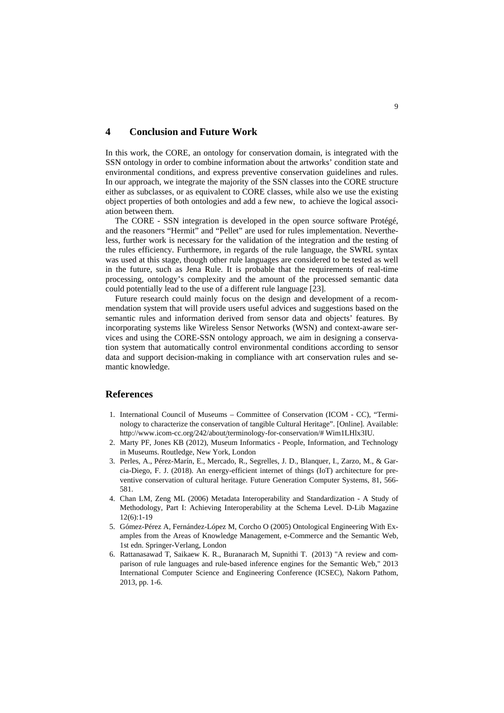## **4 Conclusion and Future Work**

In this work, the CORE, an ontology for conservation domain, is integrated with the SSN ontology in order to combine information about the artworks' condition state and environmental conditions, and express preventive conservation guidelines and rules. In our approach, we integrate the majority of the SSN classes into the CORE structure either as subclasses, or as equivalent to CORE classes, while also we use the existing object properties of both ontologies and add a few new, to achieve the logical association between them.

The CORE - SSN integration is developed in the open source software Protégé, and the reasoners "Hermit" and "Pellet" are used for rules implementation. Nevertheless, further work is necessary for the validation of the integration and the testing of the rules efficiency. Furthermore, in regards of the rule language, the SWRL syntax was used at this stage, though other rule languages are considered to be tested as well in the future, such as Jena Rule. It is probable that the requirements of real-time processing, ontology's complexity and the amount of the processed semantic data could potentially lead to the use of a different rule language [23].

Future research could mainly focus on the design and development of a recommendation system that will provide users useful advices and suggestions based on the semantic rules and information derived from sensor data and objects' features. By incorporating systems like Wireless Sensor Networks (WSN) and context-aware services and using the CORE-SSN ontology approach, we aim in designing a conservation system that automatically control environmental conditions according to sensor data and support decision-making in compliance with art conservation rules and semantic knowledge.

### **References**

- 1. International Council of Museums Committee of Conservation (ICOM CC), "Terminology to characterize the conservation of tangible Cultural Heritage". [Online]. Available: http://www.icom-cc.org/242/abo[ut/t](http://www.icom-cc.org/242/about/)erminology-for-conservation/# Wim1LHlx3IU.
- 2. Marty PF, Jones KB (2012), Museum Informatics People, Information, and Technology in Museums. Routledge, New York, London
- 3. Perles, A., Pérez-Marín, E., Mercado, R., Segrelles, J. D., Blanquer, I., Zarzo, M., & Garcia-Diego, F. J. (2018). An energy-efficient internet of things (IoT) architecture for preventive conservation of cultural heritage. Future Generation Computer Systems, 81, 566- 581.
- 4. Chan LM, Zeng ML (2006) Metadata Interoperability and Standardization A Study of Methodology, Part I: Achieving Interoperability at the Schema Level. D-Lib Magazine 12(6):1-19
- 5. Gómez-Pérez A, Fernández-López M, Corcho O (2005) Ontological Engineering With Examples from the Areas of Knowledge Management, e-Commerce and the Semantic Web, 1st edn. Springer-Verlang, London
- 6. Rattanasawad T, Saikaew K. R., Buranarach M, Supnithi T. (2013) "A review and comparison of rule languages and rule-based inference engines for the Semantic Web," 2013 International Computer Science and Engineering Conference (ICSEC), Nakorn Pathom, 2013, pp. 1-6.